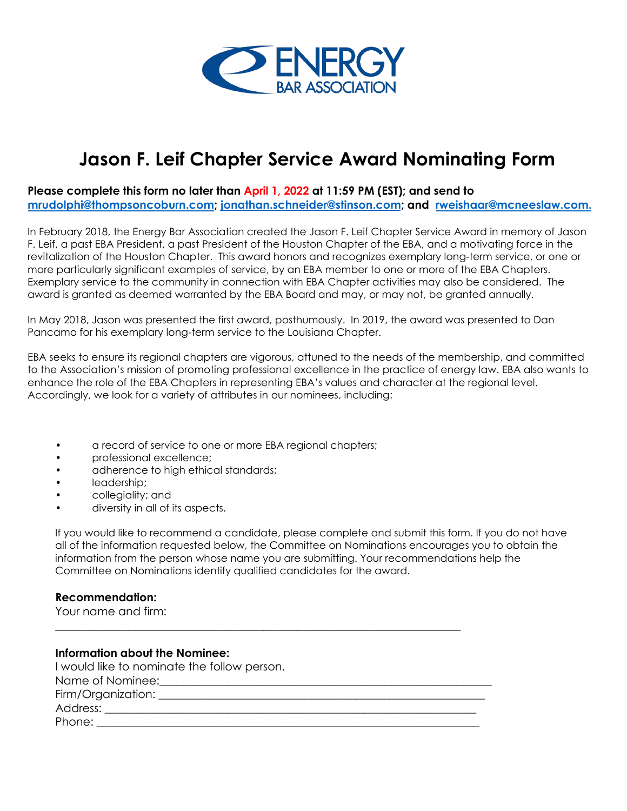

## **Jason F. Leif Chapter Service Award Nominating Form**

**Please complete this form no later than April 1, 2022 at 11:59 PM (EST); and send to mrudolphi@thompsoncoburn.com; jonathan.schneider@stinson.com; and rweishaar@mcneeslaw.com.**

In February 2018, the Energy Bar Association created the Jason F. Leif Chapter Service Award in memory of Jason F. Leif, a past EBA President, a past President of the Houston Chapter of the EBA, and a motivating force in the revitalization of the Houston Chapter. This award honors and recognizes exemplary long-term service, or one or more particularly significant examples of service, by an EBA member to one or more of the EBA Chapters. Exemplary service to the community in connection with EBA Chapter activities may also be considered. The award is granted as deemed warranted by the EBA Board and may, or may not, be granted annually.

In May 2018, Jason was presented the first award, posthumously. In 2019, the award was presented to Dan Pancamo for his exemplary long-term service to the Louisiana Chapter.

EBA seeks to ensure its regional chapters are vigorous, attuned to the needs of the membership, and committed to the Association's mission of promoting professional excellence in the practice of energy law. EBA also wants to enhance the role of the EBA Chapters in representing EBA's values and character at the regional level. Accordingly, we look for a variety of attributes in our nominees, including:

- a record of service to one or more EBA regional chapters;
- professional excellence;
- adherence to high ethical standards;
- leadership;
- collegiality; and
- diversity in all of its aspects.

If you would like to recommend a candidate, please complete and submit this form. If you do not have all of the information requested below, the Committee on Nominations encourages you to obtain the information from the person whose name you are submitting. Your recommendations help the Committee on Nominations identify qualified candidates for the award.

## **Recommendation:**

Your name and firm:

| <b>Information about the Nominee:</b>       |
|---------------------------------------------|
| I would like to nominate the follow person. |
|                                             |
|                                             |
| Address: ___________________                |
| Phone: _________________                    |

\_\_\_\_\_\_\_\_\_\_\_\_\_\_\_\_\_\_\_\_\_\_\_\_\_\_\_\_\_\_\_\_\_\_\_\_\_\_\_\_\_\_\_\_\_\_\_\_\_\_\_\_\_\_\_\_\_\_\_\_\_\_\_\_\_\_\_\_\_\_\_\_